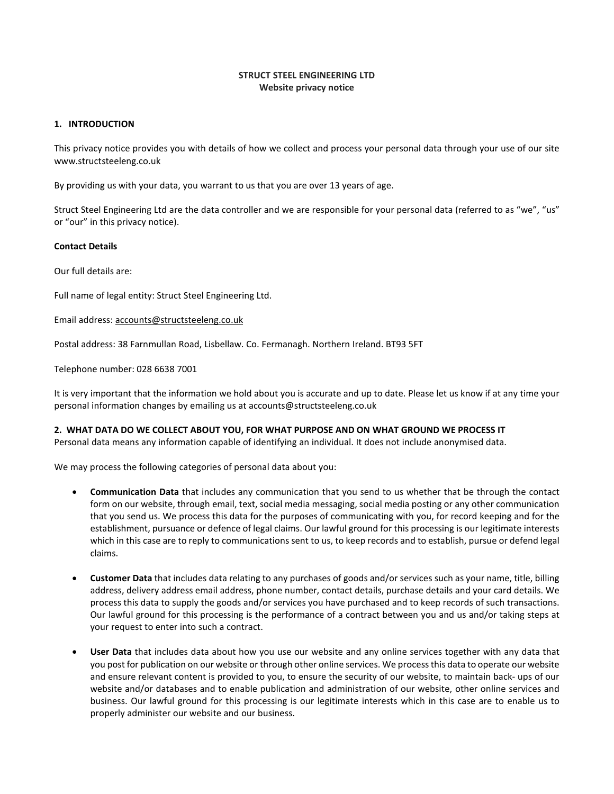## **STRUCT STEEL ENGINEERING LTD Website privacy notice**

### **1. INTRODUCTION**

This privacy notice provides you with details of how we collect and process your personal data through your use of our site www.structsteeleng.co.uk

By providing us with your data, you warrant to us that you are over 13 years of age.

Struct Steel Engineering Ltd are the data controller and we are responsible for your personal data (referred to as "we", "us" or "our" in this privacy notice).

#### **Contact Details**

Our full details are:

Full name of legal entity: Struct Steel Engineering Ltd.

Email address: [accounts@structsteeleng.co.uk](mailto:accounts@structsteeleng.co.uk)

Postal address: 38 Farnmullan Road, Lisbellaw. Co. Fermanagh. Northern Ireland. BT93 5FT

Telephone number: 028 6638 7001

It is very important that the information we hold about you is accurate and up to date. Please let us know if at any time your personal information changes by emailing us at accounts@structsteeleng.co.uk

## **2. WHAT DATA DO WE COLLECT ABOUT YOU, FOR WHAT PURPOSE AND ON WHAT GROUND WE PROCESS IT**

Personal data means any information capable of identifying an individual. It does not include anonymised data.

We may process the following categories of personal data about you:

- **Communication Data** that includes any communication that you send to us whether that be through the contact form on our website, through email, text, social media messaging, social media posting or any other communication that you send us. We process this data for the purposes of communicating with you, for record keeping and for the establishment, pursuance or defence of legal claims. Our lawful ground for this processing is our legitimate interests which in this case are to reply to communications sent to us, to keep records and to establish, pursue or defend legal claims.
- **Customer Data** that includes data relating to any purchases of goods and/or services such as your name, title, billing address, delivery address email address, phone number, contact details, purchase details and your card details. We process this data to supply the goods and/or services you have purchased and to keep records of such transactions. Our lawful ground for this processing is the performance of a contract between you and us and/or taking steps at your request to enter into such a contract.
- **User Data** that includes data about how you use our website and any online services together with any data that you post for publication on our website or through other online services. We processthis data to operate our website and ensure relevant content is provided to you, to ensure the security of our website, to maintain back- ups of our website and/or databases and to enable publication and administration of our website, other online services and business. Our lawful ground for this processing is our legitimate interests which in this case are to enable us to properly administer our website and our business.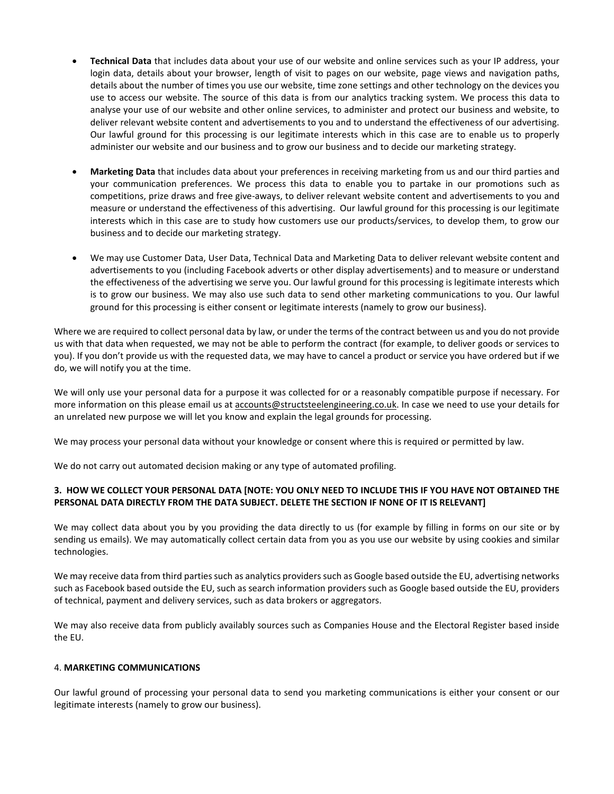- **Technical Data** that includes data about your use of our website and online services such as your IP address, your login data, details about your browser, length of visit to pages on our website, page views and navigation paths, details about the number of times you use our website, time zone settings and other technology on the devices you use to access our website. The source of this data is from our analytics tracking system. We process this data to analyse your use of our website and other online services, to administer and protect our business and website, to deliver relevant website content and advertisements to you and to understand the effectiveness of our advertising. Our lawful ground for this processing is our legitimate interests which in this case are to enable us to properly administer our website and our business and to grow our business and to decide our marketing strategy.
- **Marketing Data** that includes data about your preferences in receiving marketing from us and our third parties and your communication preferences. We process this data to enable you to partake in our promotions such as competitions, prize draws and free give-aways, to deliver relevant website content and advertisements to you and measure or understand the effectiveness of this advertising. Our lawful ground for this processing is our legitimate interests which in this case are to study how customers use our products/services, to develop them, to grow our business and to decide our marketing strategy.
- We may use Customer Data, User Data, Technical Data and Marketing Data to deliver relevant website content and advertisements to you (including Facebook adverts or other display advertisements) and to measure or understand the effectiveness of the advertising we serve you. Our lawful ground for this processing is legitimate interests which is to grow our business. We may also use such data to send other marketing communications to you. Our lawful ground for this processing is either consent or legitimate interests (namely to grow our business).

Where we are required to collect personal data by law, or under the terms of the contract between us and you do not provide us with that data when requested, we may not be able to perform the contract (for example, to deliver goods or services to you). If you don't provide us with the requested data, we may have to cancel a product or service you have ordered but if we do, we will notify you at the time.

We will only use your personal data for a purpose it was collected for or a reasonably compatible purpose if necessary. For more information on this please email us at [accounts@structsteelengineering.co.uk.](mailto:accounts@structsteelengineering.co.uk) In case we need to use your details for an unrelated new purpose we will let you know and explain the legal grounds for processing.

We may process your personal data without your knowledge or consent where this is required or permitted by law.

We do not carry out automated decision making or any type of automated profiling.

# 3. HOW WE COLLECT YOUR PERSONAL DATA [NOTE: YOU ONLY NEED TO INCLUDE THIS IF YOU HAVE NOT OBTAINED THE **PERSONAL DATA DIRECTLY FROM THE DATA SUBJECT. DELETE THE SECTION IF NONE OF IT IS RELEVANT]**

We may collect data about you by you providing the data directly to us (for example by filling in forms on our site or by sending us emails). We may automatically collect certain data from you as you use our website by using cookies and similar technologies.

We may receive data from third parties such as analytics providers such as Google based outside the EU, advertising networks such as Facebook based outside the EU, such as search information providers such as Google based outside the EU, providers of technical, payment and delivery services, such as data brokers or aggregators.

We may also receive data from publicly availably sources such as Companies House and the Electoral Register based inside the EU.

### 4. **MARKETING COMMUNICATIONS**

Our lawful ground of processing your personal data to send you marketing communications is either your consent or our legitimate interests (namely to grow our business).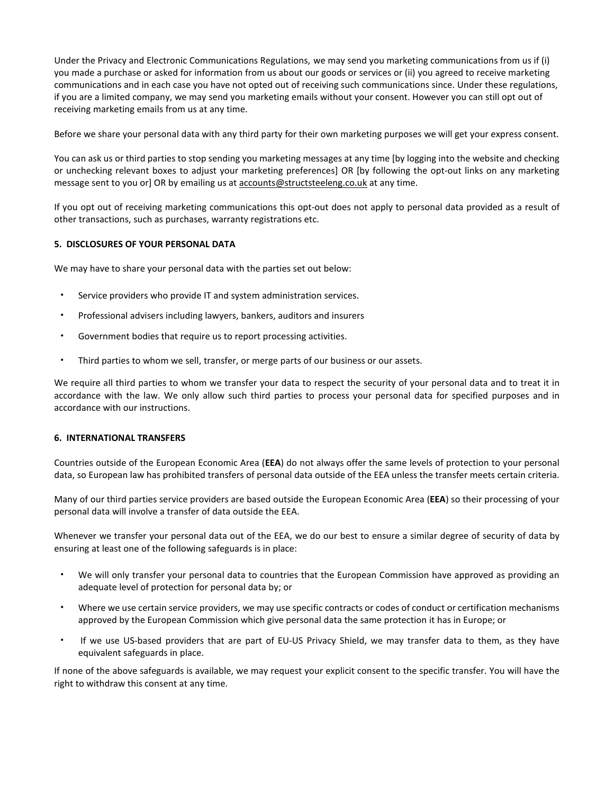Under the Privacy and Electronic Communications Regulations, we may send you marketing communications from us if (i) you made a purchase or asked for information from us about our goods or services or (ii) you agreed to receive marketing communications and in each case you have not opted out of receiving such communications since. Under these regulations, if you are a limited company, we may send you marketing emails without your consent. However you can still opt out of receiving marketing emails from us at any time.

Before we share your personal data with any third party for their own marketing purposes we will get your express consent.

You can ask us or third parties to stop sending you marketing messages at any time [by logging into the website and checking or unchecking relevant boxes to adjust your marketing preferences] OR [by following the opt-out links on any marketing message sent to you or] OR by emailing us at [accounts@structsteeleng.co.uk](mailto:accounts@structsteeleng.co.uk) at any time.

If you opt out of receiving marketing communications this opt-out does not apply to personal data provided as a result of other transactions, such as purchases, warranty registrations etc.

### **5. DISCLOSURES OF YOUR PERSONAL DATA**

We may have to share your personal data with the parties set out below:

- Service providers who provide IT and system administration services.
- Professional advisers including lawyers, bankers, auditors and insurers
- Government bodies that require us to report processing activities.
- Third parties to whom we sell, transfer, or merge parts of our business or our assets.

We require all third parties to whom we transfer your data to respect the security of your personal data and to treat it in accordance with the law. We only allow such third parties to process your personal data for specified purposes and in accordance with our instructions.

#### **6. INTERNATIONAL TRANSFERS**

Countries outside of the European Economic Area (**EEA**) do not always offer the same levels of protection to your personal data, so European law has prohibited transfers of personal data outside of the EEA unless the transfer meets certain criteria.

Many of our third parties service providers are based outside the European Economic Area (**EEA**) so their processing of your personal data will involve a transfer of data outside the EEA.

Whenever we transfer your personal data out of the EEA, we do our best to ensure a similar degree of security of data by ensuring at least one of the following safeguards is in place:

- We will only transfer your personal data to countries that the European Commission have approved as providing an adequate level of protection for personal data by; or
- Where we use certain service providers, we may use specific contracts or codes of conduct or certification mechanisms approved by the European Commission which give personal data the same protection it has in Europe; or
- If we use US-based providers that are part of EU-US Privacy Shield, we may transfer data to them, as they have equivalent safeguards in place.

If none of the above safeguards is available, we may request your explicit consent to the specific transfer. You will have the right to withdraw this consent at any time.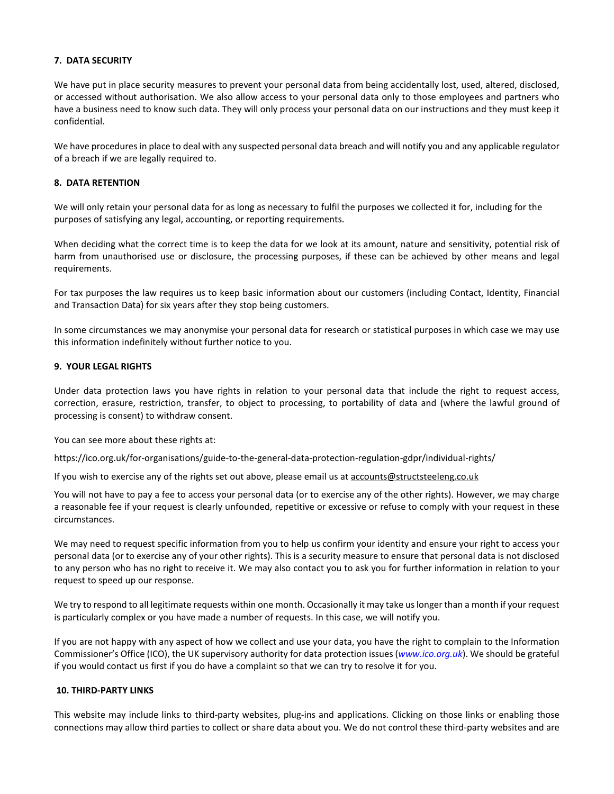#### **7. DATA SECURITY**

We have put in place security measures to prevent your personal data from being accidentally lost, used, altered, disclosed, or accessed without authorisation. We also allow access to your personal data only to those employees and partners who have a business need to know such data. They will only process your personal data on our instructions and they must keep it confidential.

We have procedures in place to deal with any suspected personal data breach and will notify you and any applicable regulator of a breach if we are legally required to.

#### **8. DATA RETENTION**

We will only retain your personal data for as long as necessary to fulfil the purposes we collected it for, including for the purposes of satisfying any legal, accounting, or reporting requirements.

When deciding what the correct time is to keep the data for we look at its amount, nature and sensitivity, potential risk of harm from unauthorised use or disclosure, the processing purposes, if these can be achieved by other means and legal requirements.

For tax purposes the law requires us to keep basic information about our customers (including Contact, Identity, Financial and Transaction Data) for six years after they stop being customers.

In some circumstances we may anonymise your personal data for research or statistical purposes in which case we may use this information indefinitely without further notice to you.

#### **9. YOUR LEGAL RIGHTS**

Under data protection laws you have rights in relation to your personal data that include the right to request access, correction, erasure, restriction, transfer, to object to processing, to portability of data and (where the lawful ground of processing is consent) to withdraw consent.

You can see more about these rights at:

https://ico.org.uk/for-organisations/guide-to-the-general-data-protection-regulation-gdpr/individual-rights/

If you wish to exercise any of the rights set out above, please email us at [accounts@structsteeleng.co.uk](mailto:accounts@structsteeleng.co.uk)

You will not have to pay a fee to access your personal data (or to exercise any of the other rights). However, we may charge a reasonable fee if your request is clearly unfounded, repetitive or excessive or refuse to comply with your request in these circumstances.

We may need to request specific information from you to help us confirm your identity and ensure your right to access your personal data (or to exercise any of your other rights). This is a security measure to ensure that personal data is not disclosed to any person who has no right to receive it. We may also contact you to ask you for further information in relation to your request to speed up our response.

We try to respond to all legitimate requests within one month. Occasionally it may take uslonger than a month if your request is particularly complex or you have made a number of requests. In this case, we will notify you.

If you are not happy with any aspect of how we collect and use your data, you have the right to complain to the Information Commissioner's Office (ICO), the UK supervisory authority for data protection issues (*[www.ico.org.uk](http://www.ico.org.uk/)*). We should be grateful if you would contact us first if you do have a complaint so that we can try to resolve it for you.

### **10. THIRD-PARTY LINKS**

This website may include links to third-party websites, plug-ins and applications. Clicking on those links or enabling those connections may allow third parties to collect or share data about you. We do not control these third-party websites and are